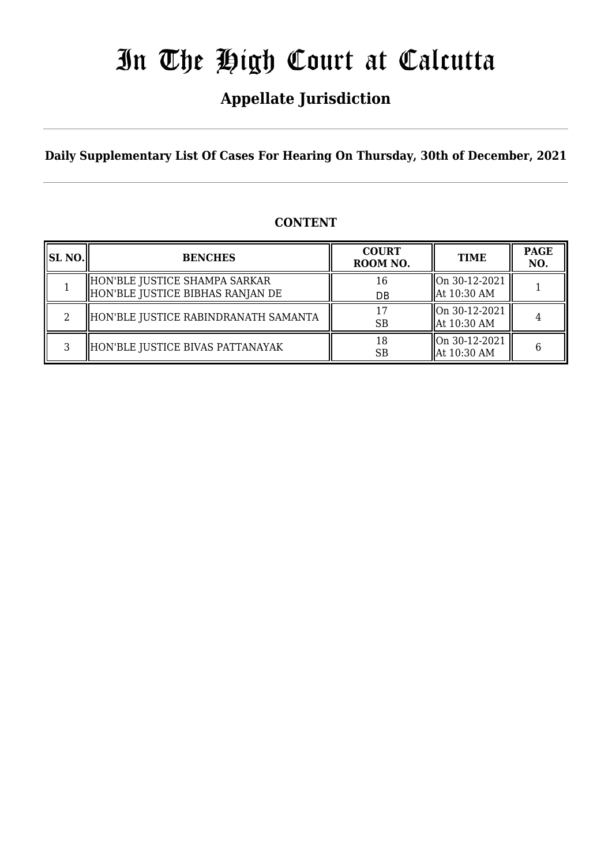## **Appellate Jurisdiction**

**Daily Supplementary List Of Cases For Hearing On Thursday, 30th of December, 2021**

## **CONTENT**

| SL NO. | <b>BENCHES</b>                                                    | <b>COURT</b><br>ROOM NO. | <b>TIME</b>                    | <b>PAGE</b><br>NO. |
|--------|-------------------------------------------------------------------|--------------------------|--------------------------------|--------------------|
|        | HON'BLE JUSTICE SHAMPA SARKAR<br>HON'BLE JUSTICE BIBHAS RANJAN DE | 16<br>DB                 | On 30-12-2021<br>  At 10:30 AM |                    |
|        | HON'BLE JUSTICE RABINDRANATH SAMANTA                              | 17<br><b>SB</b>          | On 30-12-2021<br>  At 10:30 AM |                    |
| פ      | HON'BLE JUSTICE BIVAS PATTANAYAK                                  | 18<br>SB                 | On 30-12-2021<br>  At 10:30 AM |                    |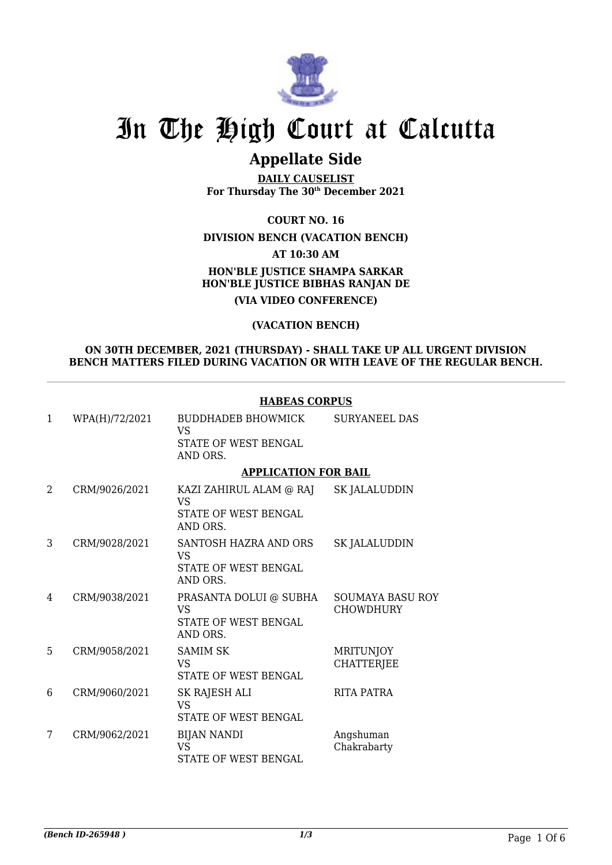

## **Appellate Side**

**DAILY CAUSELIST For Thursday The 30th December 2021**

**COURT NO. 16**

## **DIVISION BENCH (VACATION BENCH)**

**AT 10:30 AM**

**HON'BLE JUSTICE SHAMPA SARKAR HON'BLE JUSTICE BIBHAS RANJAN DE (VIA VIDEO CONFERENCE)**

## **(VACATION BENCH)**

#### **ON 30TH DECEMBER, 2021 (THURSDAY) - SHALL TAKE UP ALL URGENT DIVISION BENCH MATTERS FILED DURING VACATION OR WITH LEAVE OF THE REGULAR BENCH.**

#### **HABEAS CORPUS**

| $\mathbf{1}$ | WPA(H)/72/2021 | <b>BUDDHADEB BHOWMICK</b><br>VS<br>STATE OF WEST BENGAL<br>AND ORS.      | SURYANEEL DAS                               |
|--------------|----------------|--------------------------------------------------------------------------|---------------------------------------------|
|              |                | <b>APPLICATION FOR BAIL</b>                                              |                                             |
| 2            | CRM/9026/2021  | KAZI ZAHIRUL ALAM @ RAJ<br><b>VS</b><br>STATE OF WEST BENGAL<br>AND ORS. | SK JALALUDDIN                               |
| 3            | CRM/9028/2021  | SANTOSH HAZRA AND ORS<br><b>VS</b><br>STATE OF WEST BENGAL<br>AND ORS.   | <b>SK JALALUDDIN</b>                        |
| 4            | CRM/9038/2021  | PRASANTA DOLUI @ SUBHA<br><b>VS</b><br>STATE OF WEST BENGAL<br>AND ORS.  | <b>SOUMAYA BASU ROY</b><br><b>CHOWDHURY</b> |
| 5            | CRM/9058/2021  | <b>SAMIM SK</b><br>VS<br>STATE OF WEST BENGAL                            | <b>MRITUNJOY</b><br><b>CHATTERJEE</b>       |
| 6            | CRM/9060/2021  | SK RAJESH ALI<br>VS<br><b>STATE OF WEST BENGAL</b>                       | <b>RITA PATRA</b>                           |
| 7            | CRM/9062/2021  | <b>BIJAN NANDI</b><br><b>VS</b><br>STATE OF WEST BENGAL                  | Angshuman<br>Chakrabarty                    |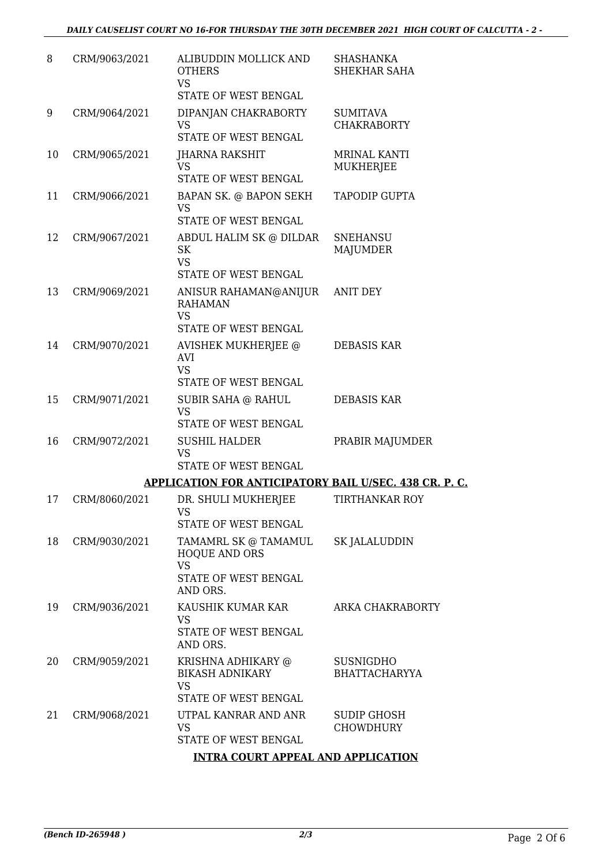| 8  | CRM/9063/2021 | ALIBUDDIN MOLLICK AND<br><b>OTHERS</b><br><b>VS</b><br>STATE OF WEST BENGAL                   | SHASHANKA<br>SHEKHAR SAHA                |
|----|---------------|-----------------------------------------------------------------------------------------------|------------------------------------------|
| 9  | CRM/9064/2021 | DIPANJAN CHAKRABORTY<br><b>VS</b><br>STATE OF WEST BENGAL                                     | <b>SUMITAVA</b><br><b>CHAKRABORTY</b>    |
| 10 | CRM/9065/2021 | JHARNA RAKSHIT<br><b>VS</b><br>STATE OF WEST BENGAL                                           | <b>MRINAL KANTI</b><br><b>MUKHERJEE</b>  |
| 11 | CRM/9066/2021 | BAPAN SK. @ BAPON SEKH<br><b>VS</b><br>STATE OF WEST BENGAL                                   | TAPODIP GUPTA                            |
| 12 | CRM/9067/2021 | ABDUL HALIM SK @ DILDAR<br>SK<br><b>VS</b><br>STATE OF WEST BENGAL                            | <b>SNEHANSU</b><br><b>MAJUMDER</b>       |
| 13 | CRM/9069/2021 | ANISUR RAHAMAN@ANIJUR<br><b>RAHAMAN</b><br><b>VS</b>                                          | <b>ANIT DEY</b>                          |
| 14 | CRM/9070/2021 | STATE OF WEST BENGAL<br>AVISHEK MUKHERJEE @<br>AVI<br><b>VS</b><br>STATE OF WEST BENGAL       | DEBASIS KAR                              |
| 15 | CRM/9071/2021 | SUBIR SAHA @ RAHUL<br><b>VS</b><br>STATE OF WEST BENGAL                                       | <b>DEBASIS KAR</b>                       |
| 16 | CRM/9072/2021 | <b>SUSHIL HALDER</b><br><b>VS</b><br>STATE OF WEST BENGAL                                     | PRABIR MAJUMDER                          |
|    |               | <b>APPLICATION FOR ANTICIPATORY BAIL U/SEC. 438 CR. P. C.</b>                                 |                                          |
| 17 | CRM/8060/2021 | DR. SHULI MUKHERJEE<br>VS<br>STATE OF WEST BENGAL                                             | <b>TIRTHANKAR ROY</b>                    |
| 18 | CRM/9030/2021 | TAMAMRL SK @ TAMAMUL<br><b>HOQUE AND ORS</b><br><b>VS</b><br>STATE OF WEST BENGAL<br>AND ORS. | SK JALALUDDIN                            |
| 19 | CRM/9036/2021 | KAUSHIK KUMAR KAR<br>VS<br>STATE OF WEST BENGAL<br>AND ORS.                                   | ARKA CHAKRABORTY                         |
| 20 | CRM/9059/2021 | KRISHNA ADHIKARY @<br><b>BIKASH ADNIKARY</b><br><b>VS</b><br>STATE OF WEST BENGAL             | <b>SUSNIGDHO</b><br><b>BHATTACHARYYA</b> |
| 21 | CRM/9068/2021 | UTPAL KANRAR AND ANR<br><b>VS</b><br>STATE OF WEST BENGAL                                     | SUDIP GHOSH<br><b>CHOWDHURY</b>          |
|    |               | <b>INTRA COURT APPEAL AND APPLICATION</b>                                                     |                                          |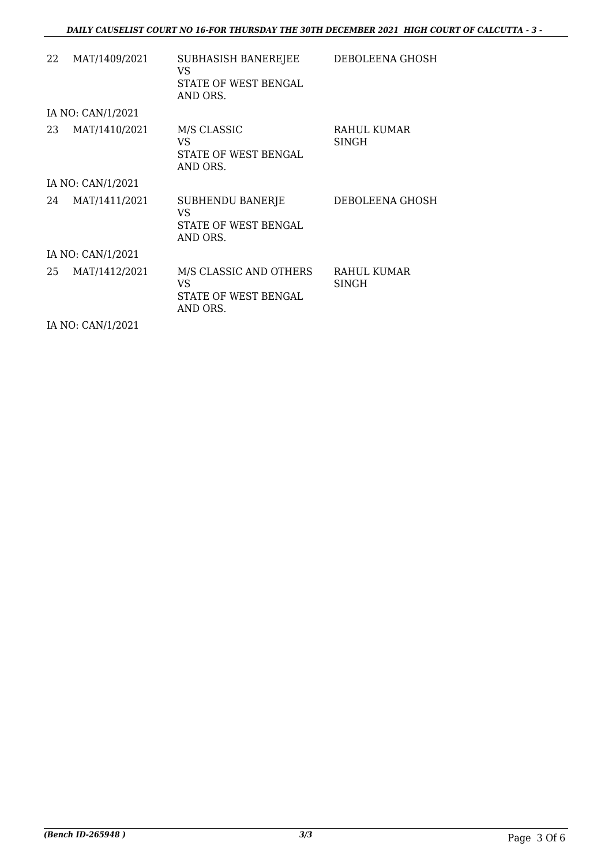## *DAILY CAUSELIST COURT NO 16-FOR THURSDAY THE 30TH DECEMBER 2021 HIGH COURT OF CALCUTTA - 3 -*

| 22 | MAT/1409/2021     | SUBHASISH BANEREJEE<br>VS.<br>STATE OF WEST BENGAL<br>AND ORS.    | DEBOLEENA GHOSH             |
|----|-------------------|-------------------------------------------------------------------|-----------------------------|
|    | IA NO: CAN/1/2021 |                                                                   |                             |
| 23 | MAT/1410/2021     | M/S CLASSIC<br>VS.<br>STATE OF WEST BENGAL<br>AND ORS.            | RAHUL KUMAR<br><b>SINGH</b> |
|    | IA NO: CAN/1/2021 |                                                                   |                             |
| 24 | MAT/1411/2021     | <b>SUBHENDU BANERJE</b><br>VS<br>STATE OF WEST BENGAL<br>AND ORS. | DEBOLEENA GHOSH             |
|    | IA NO: CAN/1/2021 |                                                                   |                             |
| 25 | MAT/1412/2021     | M/S CLASSIC AND OTHERS<br>VS<br>STATE OF WEST BENGAL<br>AND ORS.  | RAHUL KUMAR<br><b>SINGH</b> |

IA NO: CAN/1/2021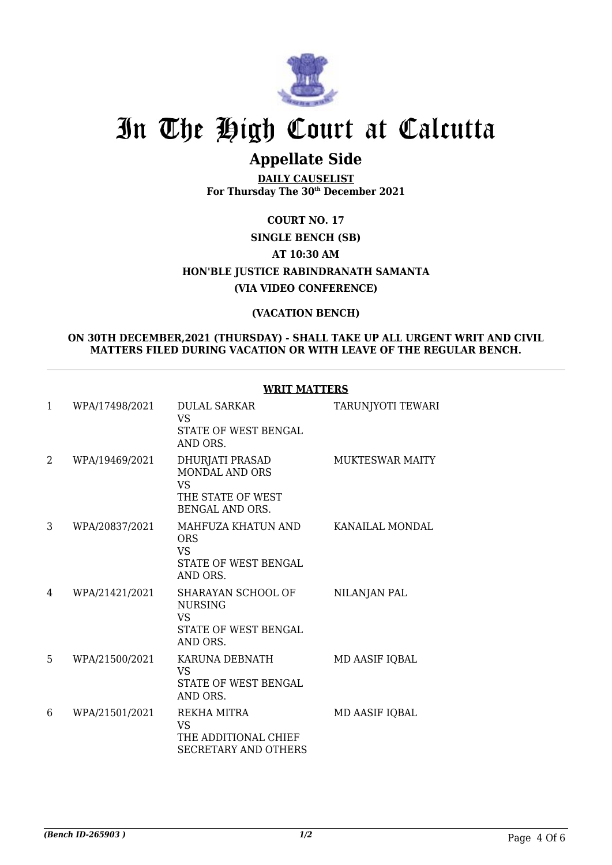

## **Appellate Side**

**DAILY CAUSELIST For Thursday The 30th December 2021**

## **COURT NO. 17 SINGLE BENCH (SB) AT 10:30 AM HON'BLE JUSTICE RABINDRANATH SAMANTA (VIA VIDEO CONFERENCE)**

## **(VACATION BENCH)**

## **ON 30TH DECEMBER,2021 (THURSDAY) - SHALL TAKE UP ALL URGENT WRIT AND CIVIL MATTERS FILED DURING VACATION OR WITH LEAVE OF THE REGULAR BENCH.**

## **WRIT MATTERS**

| 1 | WPA/17498/2021 | <b>DULAL SARKAR</b><br><b>VS</b><br>STATE OF WEST BENGAL<br>AND ORS.                          | TARUNJYOTI TEWARI      |
|---|----------------|-----------------------------------------------------------------------------------------------|------------------------|
| 2 | WPA/19469/2021 | DHURJATI PRASAD<br><b>MONDAL AND ORS</b><br><b>VS</b><br>THE STATE OF WEST<br>BENGAL AND ORS. | <b>MUKTESWAR MAITY</b> |
| 3 | WPA/20837/2021 | MAHFUZA KHATUN AND<br><b>ORS</b><br><b>VS</b><br>STATE OF WEST BENGAL<br>AND ORS.             | KANAILAL MONDAL        |
| 4 | WPA/21421/2021 | SHARAYAN SCHOOL OF<br><b>NURSING</b><br><b>VS</b><br>STATE OF WEST BENGAL<br>AND ORS.         | NILANJAN PAL           |
| 5 | WPA/21500/2021 | KARUNA DEBNATH<br><b>VS</b><br>STATE OF WEST BENGAL<br>AND ORS.                               | MD AASIF IQBAL         |
| 6 | WPA/21501/2021 | REKHA MITRA<br><b>VS</b><br>THE ADDITIONAL CHIEF<br><b>SECRETARY AND OTHERS</b>               | MD AASIF IQBAL         |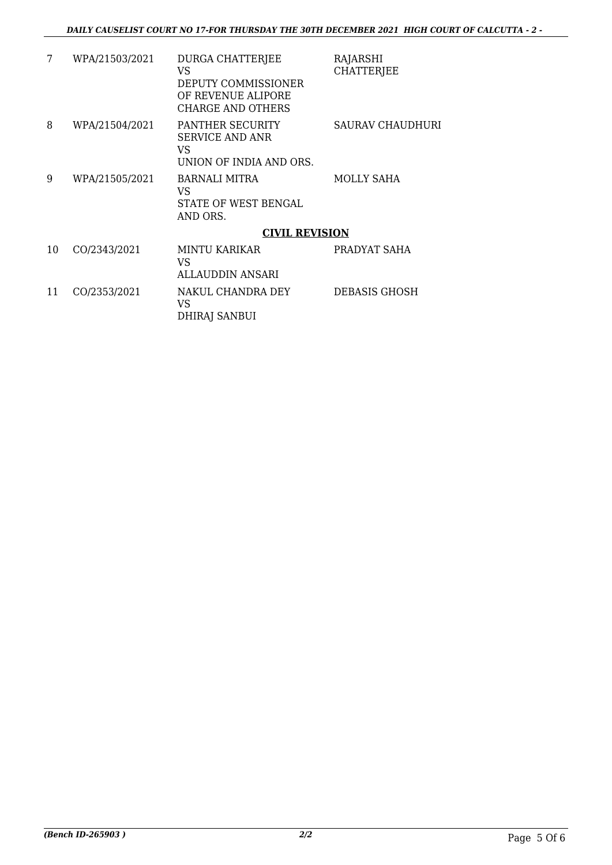| 7  | WPA/21503/2021 | DURGA CHATTERJEE<br>VS<br>DEPUTY COMMISSIONER<br>OF REVENUE ALIPORE<br>CHARGE AND OTHERS | RAJARSHI<br><b>CHATTERJEE</b> |
|----|----------------|------------------------------------------------------------------------------------------|-------------------------------|
| 8  | WPA/21504/2021 | <b>PANTHER SECURITY</b><br><b>SERVICE AND ANR</b><br>VS<br>UNION OF INDIA AND ORS.       | SAURAV CHAUDHURI              |
| 9  | WPA/21505/2021 | <b>BARNALI MITRA</b><br>VS<br>STATE OF WEST BENGAL<br>AND ORS.                           | MOLLY SAHA                    |
|    |                | <b>CIVIL REVISION</b>                                                                    |                               |
| 10 | CO/2343/2021   | MINTU KARIKAR<br>VS<br>ALLAUDDIN ANSARI                                                  | PRADYAT SAHA                  |
| 11 | CO/2353/2021   | NAKUL CHANDRA DEY<br>VS<br><b>DHIRAJ SANBUI</b>                                          | DEBASIS GHOSH                 |